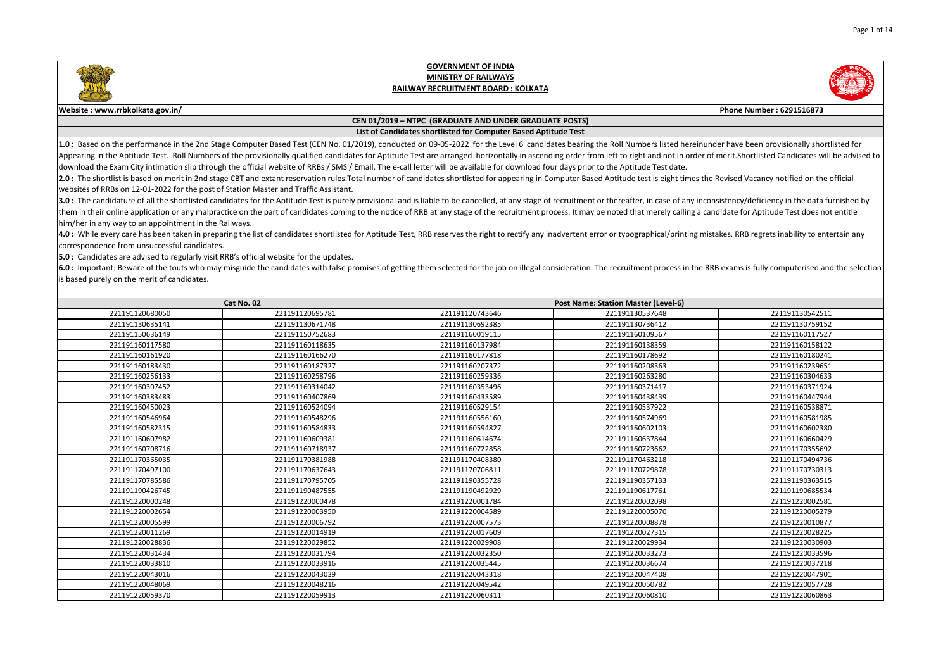

## **GOVERNMENT OF INDIA MINISTRY OF RAILWAYSRAILWAY RECRUITMENT BOARD : KOLKATA**



## **CEN 01/2019 – NTPC (GRADUATE AND UNDER GRADUATE POSTS)List of Candidates shortlisted for Computer Based Aptitude Test**

1.0: Based on the performance in the 2nd Stage Computer Based Test (CEN No. 01/2019), conducted on 09-05-2022 for the Level 6 candidates bearing the Roll Numbers listed hereinunder have been provisionally shortlisted for Appearing in the Aptitude Test. Roll Numbers of the provisionally qualified candidates for Aptitude Test are arranged horizontally in ascending order from left to right and not in order of merit. Shortlisted Candidates wil download the Exam City intimation slip through the official website of RRBs / SMS / Email. The e-call letter will be available for download four days prior to the Aptitude Test date.

2.0: The shortlist is based on merit in 2nd stage CBT and extant reservation rules. Total number of candidates shortlisted for appearing in Computer Based Aptitude test is eight times the Revised Vacancy notified on the of websites of RRBs on 12-01-2022 for the post of Station Master and Traffic Assistant.

3.0 : The candidature of all the shortlisted candidates for the Aptitude Test is purely provisional and is liable to be cancelled, at any stage of recruitment or thereafter, in case of any inconsistency/deficiency in the d them in their online application or any malpractice on the part of candidates coming to the notice of RRB at any stage of the recruitment process. It may be noted that merely calling a candidate for Aptitude Test does not him/her in any way to an appointment in the Railways.

4.0: While every care has been taken in preparing the list of candidates shortlisted for Aptitude Test, RRB reserves the right to rectify any inadvertent error or typographical/printing mistakes. RRB regrets inability to e correspondence from unsuccessful candidates.

**5.0 :** Candidates are advised to regularly visit RRB's official website for the updates.

6.0 : Important: Beware of the touts who may misguide the candidates with false promises of getting them selected for the job on illegal consideration. The recruitment process in the RRB exams is fully computerised and the is based purely on the merit of candidates.

| Cat No. 02      |                 | <b>Post Name: Station Master (Level-6)</b> |                 |                 |
|-----------------|-----------------|--------------------------------------------|-----------------|-----------------|
| 221191120680050 | 221191120695781 | 221191120743646                            | 221191130537648 | 221191130542511 |
| 221191130635141 | 221191130671748 | 221191130692385                            | 221191130736412 | 221191130759152 |
| 221191150636149 | 221191150752683 | 221191160019115                            | 221191160109567 | 221191160117527 |
| 221191160117580 | 221191160118635 | 221191160137984                            | 221191160138359 | 221191160158122 |
| 221191160161920 | 221191160166270 | 221191160177818                            | 221191160178692 | 221191160180241 |
| 221191160183430 | 221191160187327 | 221191160207372                            | 221191160208363 | 221191160239651 |
| 221191160256133 | 221191160258796 | 221191160259336                            | 221191160263280 | 221191160304633 |
| 221191160307452 | 221191160314042 | 221191160353496                            | 221191160371417 | 221191160371924 |
| 221191160383483 | 221191160407869 | 221191160433589                            | 221191160438439 | 221191160447944 |
| 221191160450023 | 221191160524094 | 221191160529154                            | 221191160537922 | 221191160538871 |
| 221191160546964 | 221191160548296 | 221191160556160                            | 221191160574969 | 221191160581985 |
| 221191160582315 | 221191160584833 | 221191160594827                            | 221191160602103 | 221191160602380 |
| 221191160607982 | 221191160609381 | 221191160614674                            | 221191160637844 | 221191160660429 |
| 221191160708716 | 221191160718937 | 221191160722858                            | 221191160723662 | 221191170355692 |
| 221191170365035 | 221191170381988 | 221191170408380                            | 221191170463218 | 221191170494736 |
| 221191170497100 | 221191170637643 | 221191170706811                            | 221191170729878 | 221191170730313 |
| 221191170785586 | 221191170795705 | 221191190355728                            | 221191190357133 | 221191190363515 |
| 221191190426745 | 221191190487555 | 221191190492929                            | 221191190617761 | 221191190685534 |
| 221191220000248 | 221191220000478 | 221191220001784                            | 221191220002098 | 221191220002581 |
| 221191220002654 | 221191220003950 | 221191220004589                            | 221191220005070 | 221191220005279 |
| 221191220005599 | 221191220006792 | 221191220007573                            | 221191220008878 | 221191220010877 |
| 221191220011269 | 221191220014919 | 221191220017609                            | 221191220027315 | 221191220028225 |
| 221191220028836 | 221191220029852 | 221191220029908                            | 221191220029934 | 221191220030903 |
| 221191220031434 | 221191220031794 | 221191220032350                            | 221191220033273 | 221191220033596 |
| 221191220033810 | 221191220033916 | 221191220035445                            | 221191220036674 | 221191220037218 |
| 221191220043016 | 221191220043039 | 221191220043318                            | 221191220047408 | 221191220047901 |
| 221191220048069 | 221191220048216 | 221191220049542                            | 221191220050782 | 221191220057728 |
| 221191220059370 | 221191220059913 | 221191220060311                            | 221191220060810 | 221191220060863 |



**Phone Number : 6291516873**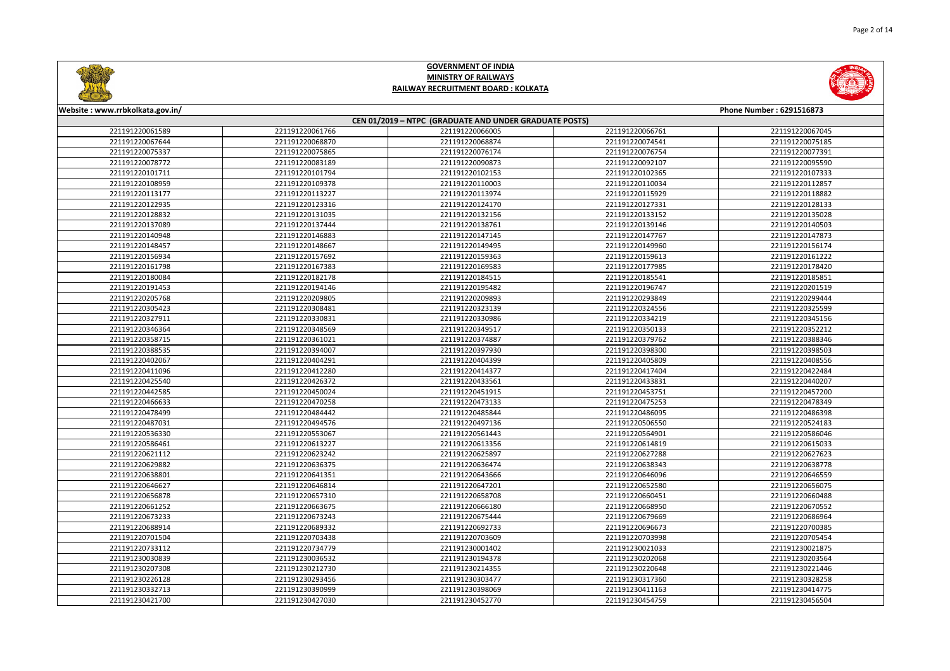

**Website : www.rrbkolkata.gov.in/**

# **GOVERNMENT OF INDIA MINISTRY OF RAILWAYSRAILWAY RECRUITMENT BOARD : KOLKATA**



**Phone Number : 6291516873**

### **CEN 01/2019 – NTPC (GRADUATE AND UNDER GRADUATE POSTS)**2211912200615899 221191220061766 221191220066005 221191220066761 221191220067045 2211912200676444 221191220068870 221191220068874 221191220074541 221191220075185 221191220075337 <sup>221191220075865</sup> <sup>221191220076174</sup> <sup>221191220076754</sup> <sup>221191220077391</sup> 2211912200787722 221191220083189 221191220090873 221191220092107 221191220095590 2211912201017111 221191220101794 221191220102153 221191220102365 221191220107333 2211912201089599 221191220109378 221191220110003 221191220110034 221191220112857 221191220113177 <sup>221191220113227</sup> <sup>221191220113974</sup> <sup>221191220115929</sup> <sup>221191220118882</sup> 221191220122935 <sup>221191220123316</sup> <sup>221191220124170</sup> <sup>221191220127331</sup> <sup>221191220128133</sup> 2211912201288322 221191220131035 221191220132156 221191220133152<br> 221191220131035 221191220132156 221191220133152 2211912201370899 221191220137444 221191220138761 221191220139146 221191220140503 221191220140948 <sup>221191220146883</sup> <sup>221191220147145</sup> <sup>221191220147767</sup> <sup>221191220147873</sup> 221191220148457 <sup>221191220148667</sup> <sup>221191220149495</sup> <sup>221191220149960</sup> <sup>221191220156174</sup> 2211912201569344 221191220157692 221191220159363 221191220159613 221191220161222 221191220161798 <sup>221191220167383</sup> <sup>221191220169583</sup> <sup>221191220177985</sup> <sup>221191220178420</sup> 2211912201800844 221191220182178 221191220184515 221191220185541 221191220191453 <sup>221191220194146</sup> <sup>221191220195482</sup> <sup>221191220196747</sup> <sup>221191220201519</sup> 2211912202057688 221191220209805 221191220209893 221191220293849 221191220299444 2211912203054233 221191220308481 221191220323139 221191220324556 221191220325599 2211912203279111 221191220330831 221191220330986 221191220334219 221191220345156 221191220346364 <sup>221191220348569</sup> <sup>221191220349517</sup> <sup>221191220350133</sup> <sup>221191220352212</sup> 221191220358715 <sup>221191220361021</sup> <sup>221191220374887</sup> <sup>221191220379762</sup> <sup>221191220388346</sup> 2211912203885355 221191220394007 221191220397930 221191220398300 221191220398503 221191220402067 <sup>221191220404291</sup> <sup>221191220404399</sup> <sup>221191220405809</sup> <sup>221191220408556</sup> 221191220411096 <sup>221191220412280</sup> <sup>221191220414377</sup> <sup>221191220417404</sup> <sup>221191220422484</sup> 2211912204255400 221191220426372 221191220433561 221191220433831 221191220440207 221191220442585 <sup>221191220450024</sup> <sup>221191220451915</sup> <sup>221191220453751</sup> <sup>221191220457200</sup> 2211912204666333 221191220470258 221191220473133 221191220475253 221191220478349 2211912204784999 221191220484442 221191220485844 221191220486095 221191220486398 221191220487031 <sup>221191220494576</sup> <sup>221191220497136</sup> <sup>221191220506550</sup> <sup>221191220524183</sup> 2211912205363300 221191220553067 2211912205661443 2211912205664901 221191220586046 2211912205864611 221191220613227 221191220613356 221191220614819 221191220615033 2211912206211122 221191220623242 221191220625897 221191220627288 221191220627623 2211912206298822 221191220636375 221191220636474 221191220638343 221191220638778 2211912206388011 221191220641351 221191220643666 221191220646096 221191220646559 2211912206466277 221191220646814 221191220647201 221191220652580 221191220656075 221191220656878 <sup>221191220657310</sup> <sup>221191220658708</sup> <sup>221191220660451</sup> <sup>221191220660488</sup> 2211912206612522 221191220663675 221191220666180 221191220668950 221191220670552 2211912206732333 221191220673243 221191220675444 221191220679669 221191220686964 2211912206889144 221191220689332 221191220692733 221191220696673 221191220700385 221191220701504 <sup>221191220703438</sup> <sup>221191220703609</sup> <sup>221191220703998</sup> <sup>221191220705454</sup> 2211912207331122 221191220734779 221191230001402 221191230021033 221191230021875 2211912300308399 221191230036532 221191230194378 221191230202068 221191230203564 221191230207308 <sup>221191230212730</sup> <sup>221191230214355</sup> <sup>221191230220648</sup> <sup>221191230221446</sup> 221191230226128 <sup>221191230293456</sup> <sup>221191230303477</sup> <sup>221191230317360</sup> <sup>221191230328258</sup> 2211912303327133 221191230390999 221191230398069 221191230411163 221191230414775 2211912304217000 221191230427030 221191230452770 221191230454759 221191230456504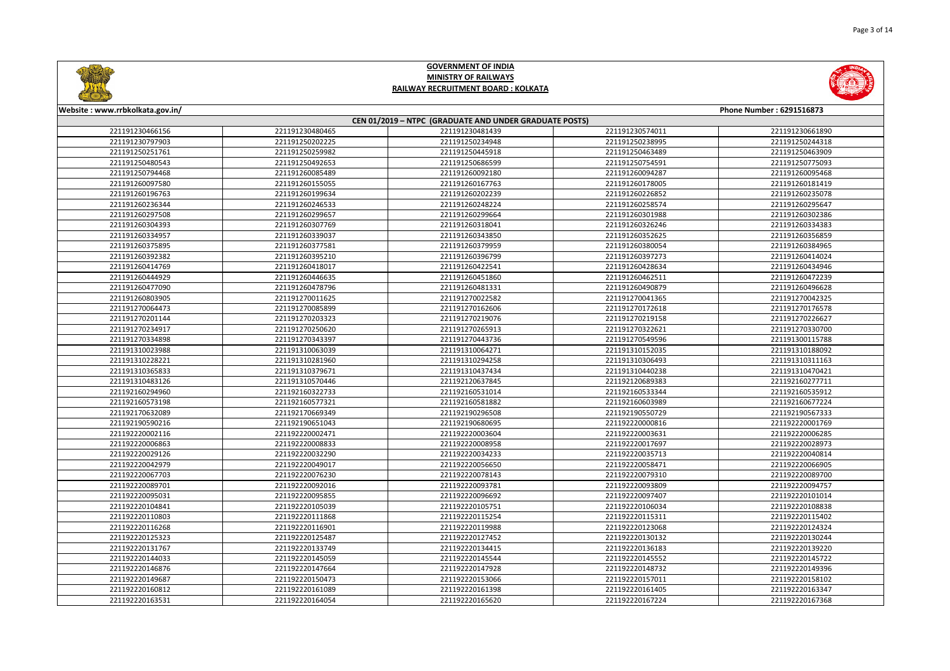





**Website : www.rrbkolkata.gov.in/**

221191230466156

221191230797903

221191250251761

221191250480543

221191250794468

221191260097580

221191260196763

221191260236344

221191260297508

221191260304393

221191260334957

221191260375895

221191260392382

221191260414769

221191260444929

221191260477090

221191260803905

221191270064473

221191270201144

221191270234917

221191270334898

221191310023988

221191310228221

221191310365833



Page 3 of 14

**GOVERNMENT OF INDIAMINISTRY OF RAILWAYS**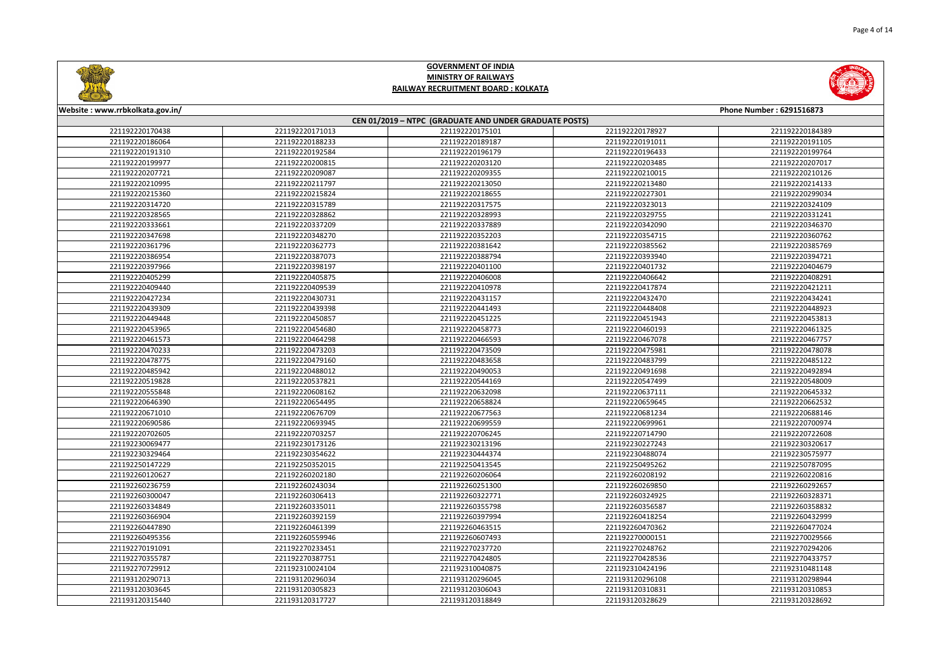

7 221192270387751 221192270424805 221192270428536 221192270433757

<sup>221192310024104</sup> <sup>221192310040875</sup> <sup>221192310424196</sup> <sup>221192310481148</sup>

<sup>221193120296034</sup> <sup>221193120296045</sup> <sup>221193120296108</sup> <sup>221193120298944</sup>

<sup>221193120305823</sup> <sup>221193120306043</sup> <sup>221193120310831</sup> <sup>221193120310853</sup>

0 221193120317727 221193120318849 221193120328629 221193120328692

221192270355787

221192270729912

221193120290713

221193120303645

221193120315440

**GOVERNMENT OF INDIA**

Page 4 of 14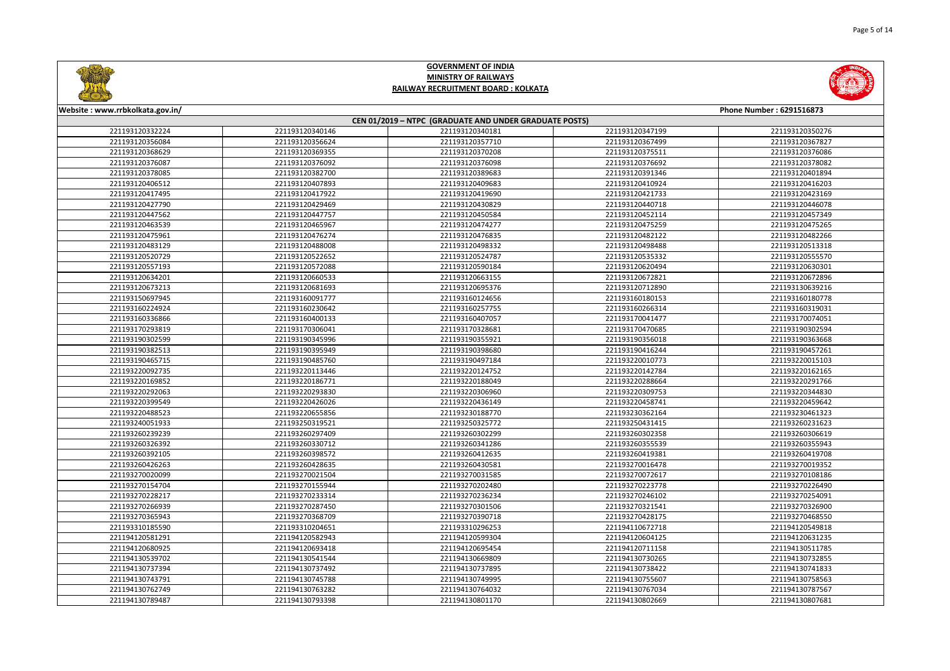

**Website : www.rrbkolkata.gov.in/**

| 221193120332224 | 221193120340146 | 221193120340181 | 221193120347199 | 221193120350276 |
|-----------------|-----------------|-----------------|-----------------|-----------------|
| 221193120356084 | 221193120356624 | 221193120357710 | 221193120367499 | 221193120367827 |
| 221193120368629 | 221193120369355 | 221193120370208 | 221193120375511 | 221193120376086 |
| 221193120376087 | 221193120376092 | 221193120376098 | 221193120376692 | 221193120378082 |
| 221193120378085 | 221193120382700 | 221193120389683 | 221193120391346 | 221193120401894 |
| 221193120406512 | 221193120407893 | 221193120409683 | 221193120410924 | 221193120416203 |
| 221193120417495 | 221193120417922 | 221193120419690 | 221193120421733 | 221193120423169 |
| 221193120427790 | 221193120429469 | 221193120430829 | 221193120440718 | 221193120446078 |
| 221193120447562 | 221193120447757 | 221193120450584 | 221193120452114 | 221193120457349 |
| 221193120463539 | 221193120465967 | 221193120474277 | 221193120475259 | 221193120475265 |
| 221193120475961 | 221193120476274 | 221193120476835 | 221193120482122 | 221193120482266 |
| 221193120483129 | 221193120488008 | 221193120498332 | 221193120498488 | 221193120513318 |
| 221193120520729 | 221193120522652 | 221193120524787 | 221193120535332 | 221193120555570 |
| 221193120557193 | 221193120572088 | 221193120590184 | 221193120620494 | 221193120630301 |
| 221193120634201 | 221193120660533 | 221193120663155 | 221193120672821 | 221193120672896 |
| 221193120673213 | 221193120681693 | 221193120695376 | 221193120712890 | 221193130639216 |
| 221193150697945 | 221193160091777 | 221193160124656 | 221193160180153 | 221193160180778 |
| 221193160224924 | 221193160230642 | 221193160257755 | 221193160266314 | 221193160319031 |
| 221193160336866 | 221193160400133 | 221193160407057 | 221193170041477 | 221193170074051 |
| 221193170293819 | 221193170306041 | 221193170328681 | 221193170470685 | 221193190302594 |
| 221193190302599 | 221193190345996 | 221193190355921 | 221193190356018 | 221193190363668 |
| 221193190382513 | 221193190395949 | 221193190398680 | 221193190416244 | 221193190457261 |
| 221193190465715 | 221193190485760 | 221193190497184 | 221193220010773 | 221193220015103 |
| 221193220092735 | 221193220113446 | 221193220124752 | 221193220142784 | 221193220162165 |
| 221193220169852 | 221193220186771 | 221193220188049 | 221193220288664 | 221193220291766 |
| 221193220292063 | 221193220293830 | 221193220306960 | 221193220309753 | 221193220344830 |
| 221193220399549 | 221193220426026 | 221193220436149 | 221193220458741 | 221193220459642 |
| 221193220488523 | 221193220655856 | 221193230188770 | 221193230362164 | 221193230461323 |
| 221193240051933 | 221193250319521 | 221193250325772 | 221193250431415 | 221193260231623 |
| 221193260239239 | 221193260297409 | 221193260302299 | 221193260302358 | 221193260306619 |
| 221193260326392 | 221193260330712 | 221193260341286 | 221193260355539 | 221193260355943 |
| 221193260392105 | 221193260398572 | 221193260412635 | 221193260419381 | 221193260419708 |
| 221193260426263 | 221193260428635 | 221193260430581 | 221193270016478 | 221193270019352 |
| 221193270020099 | 221193270021504 | 221193270031585 | 221193270072617 | 221193270108186 |
| 221193270154704 | 221193270155944 | 221193270202480 | 221193270223778 | 221193270226490 |
| 221193270228217 | 221193270233314 | 221193270236234 | 221193270246102 | 221193270254091 |
| 221193270266939 | 221193270287450 | 221193270301506 | 221193270321541 | 221193270326900 |
| 221193270365943 | 221193270368709 | 221193270390718 | 221193270428175 | 221193270468550 |
| 221193310185590 | 221193310204651 | 221193310296253 | 221194110672718 | 221194120549818 |
| 221194120581291 | 221194120582943 | 221194120599304 | 221194120604125 | 221194120631235 |
| 221194120680925 | 221194120693418 | 221194120695454 | 221194120711158 | 221194130511785 |
| 221194130539702 | 221194130541544 | 221194130669809 | 221194130730265 | 221194130732855 |
| 221194130737394 | 221194130737492 | 221194130737895 | 221194130738422 | 221194130741833 |
| 221194130743791 | 221194130745788 | 221194130749995 | 221194130755607 | 221194130758563 |
| 221194130762749 | 221194130763282 | 221194130764032 | 221194130767034 | 221194130787567 |
| 221194130789487 | 221194130793398 | 221194130801170 | 221194130802669 | 221194130807681 |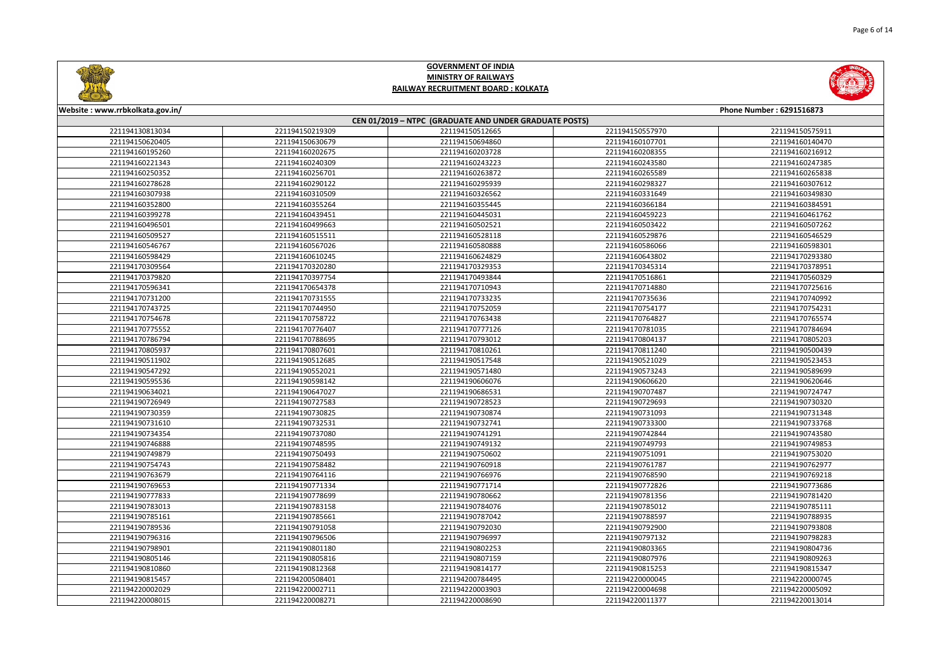

<sup>221194220008271</sup> <sup>221194220008690</sup> <sup>221194220011377</sup> <sup>221194220013014</sup>



221194220008015



**GOVERNMENT OF INDIA MINISTRY OF RAILWAYSRAILWAY RECRUITMENT BOARD : KOLKATA**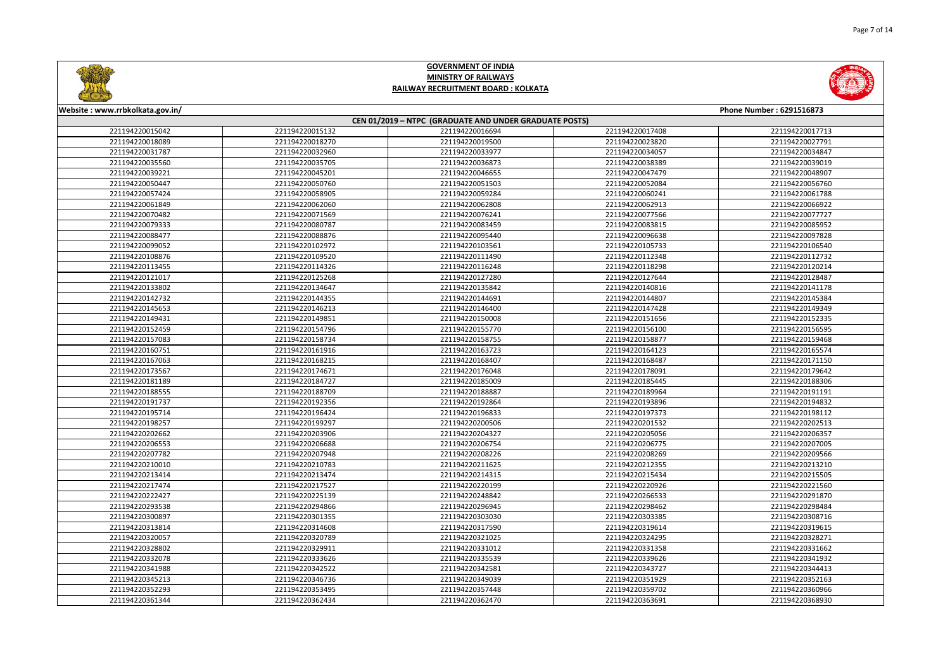

2 221194220329911 221194220331012 221194220331358 221194220331662

<sup>221194220333626</sup> <sup>221194220335539</sup> <sup>221194220339626</sup> <sup>221194220341932</sup>

8 221194220342522 221194220342581 221194220343727 221194220344413

<sup>221194220346736</sup> <sup>221194220349039</sup> <sup>221194220351929</sup> <sup>221194220352163</sup>

<sup>221194220353495</sup> <sup>221194220357448</sup> <sup>221194220359702</sup> <sup>221194220360966</sup>

4 221194220362434 221194220362470 221194220363691 221194220368930



221194220328802

221194220332078

221194220341988

221194220345213

221194220352293



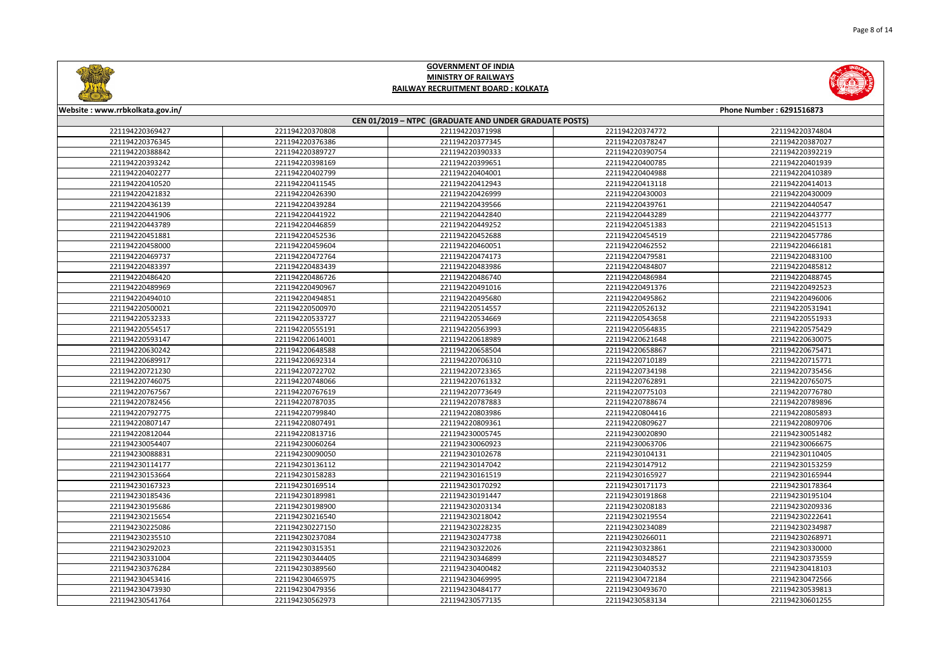

0 221194230479356 221194230484177 221194230493670 221194230539813

4 221194230562973 221194230577135 221194230583134 2211942306601255



221194230473930



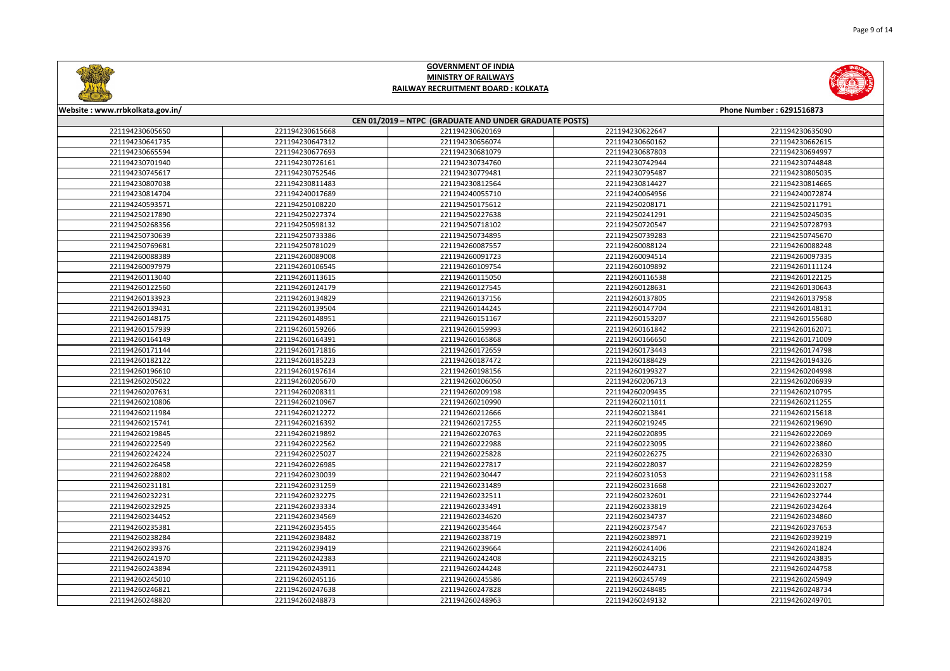

<sup>221194260247638</sup> <sup>221194260247828</sup> <sup>221194260248485</sup> <sup>221194260248734</sup>

0 221194260248873 221194260248963 221194260249132 221194260249701





221194260246821

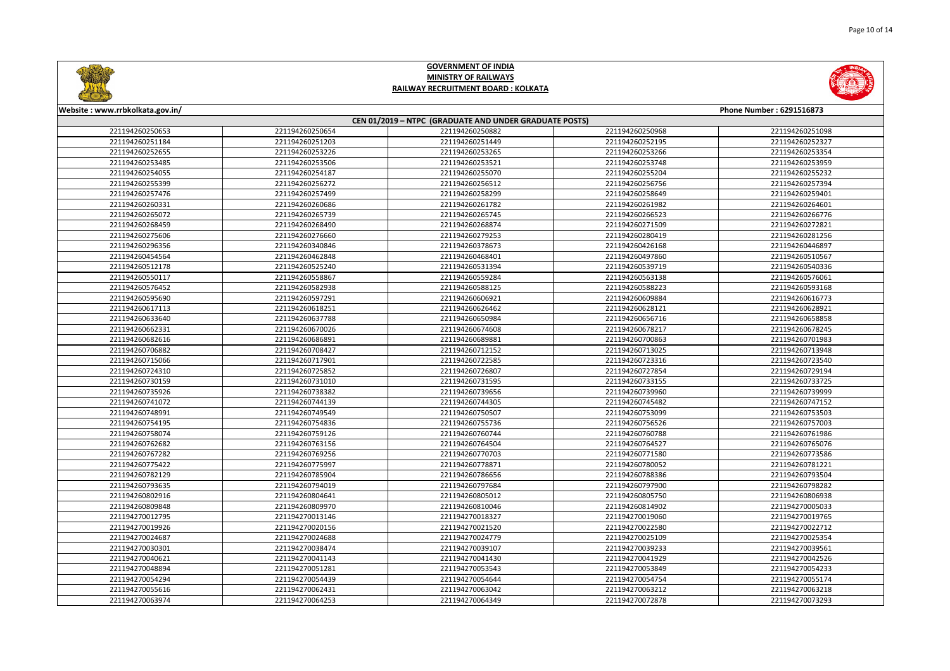

4 221194270054439 221194270054644 221194270054754 221194270055174

6 221194270062431 221194270063042 221194270063212

<sup>221194270064253</sup> <sup>221194270064349</sup> <sup>221194270072878</sup> <sup>221194270073293</sup>

221194270054294

221194270055616

221194270063974



# **GOVERNMENT OF INDIA MINISTRY OF RAILWAYSRAILWAY RECRUITMENT BOARD : KOLKATA**

Page 10 of 14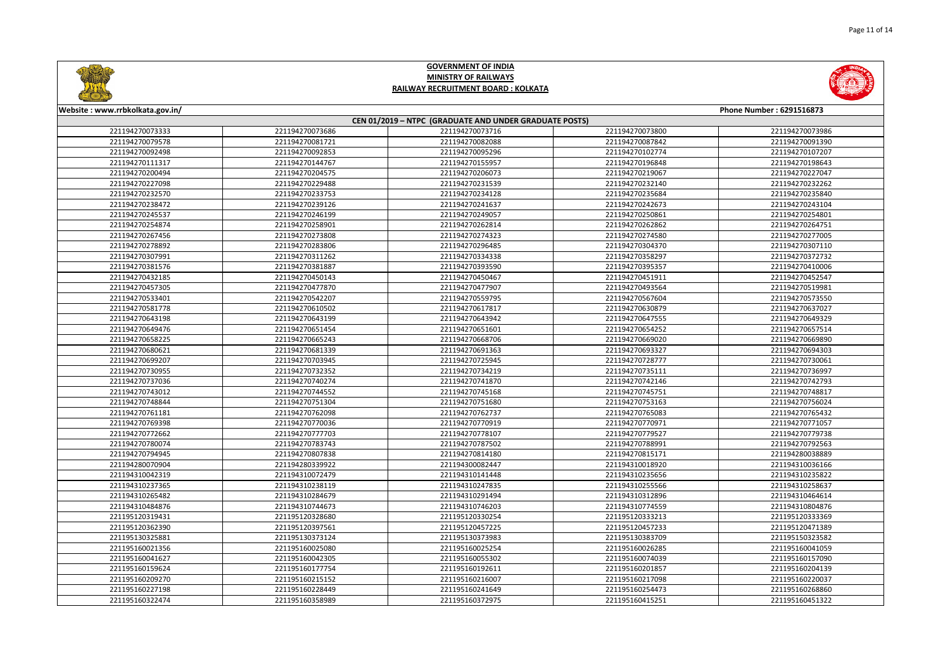| $(1 - (1) + 1)$                                        |                 |                 |                 |                          |  |
|--------------------------------------------------------|-----------------|-----------------|-----------------|--------------------------|--|
| Website: www.rrbkolkata.gov.in/                        |                 |                 |                 | Phone Number: 6291516873 |  |
| CEN 01/2019 - NTPC (GRADUATE AND UNDER GRADUATE POSTS) |                 |                 |                 |                          |  |
| 221194270073333                                        | 221194270073686 | 221194270073716 | 221194270073800 | 221194270073986          |  |
| 221194270079578                                        | 221194270081721 | 221194270082088 | 221194270087842 | 221194270091390          |  |
| 221194270092498                                        | 221194270092853 | 221194270095296 | 221194270102774 | 221194270107207          |  |
| 221194270111317                                        | 221194270144767 | 221194270155957 | 221194270196848 | 221194270198643          |  |
| 221194270200494                                        | 221194270204575 | 221194270206073 | 221194270219067 | 221194270227047          |  |
| 221194270227098                                        | 221194270229488 | 221194270231539 | 221194270232140 | 221194270232262          |  |
| 221194270232570                                        | 221194270233753 | 221194270234128 | 221194270235684 | 221194270235840          |  |
| 221194270238472                                        | 221194270239126 | 221194270241637 | 221194270242673 | 221194270243104          |  |
| 221194270245537                                        | 221194270246199 | 221194270249057 | 221194270250861 | 221194270254801          |  |
| 221194270254874                                        | 221194270258901 | 221194270262814 | 221194270262862 | 221194270264751          |  |
| 221194270267456                                        | 221194270273808 | 221194270274323 | 221194270274580 | 221194270277005          |  |
| 221194270278892                                        | 221194270283806 | 221194270296485 | 221194270304370 | 221194270307110          |  |
| 221194270307991                                        | 221194270311262 | 221194270334338 | 221194270358297 | 221194270372732          |  |
| 221194270381576                                        | 221194270381887 | 221194270393590 | 221194270395357 | 221194270410006          |  |
| 221194270432185                                        | 221194270450143 | 221194270450467 | 221194270451911 | 221194270452547          |  |
| 221194270457305                                        | 221194270477870 | 221194270477907 | 221194270493564 | 221194270519981          |  |
| 221194270533401                                        | 221194270542207 | 221194270559795 | 221194270567604 | 221194270573550          |  |
| 221194270581778                                        | 221194270610502 | 221194270617817 | 221194270630879 | 221194270637027          |  |
| 221194270643198                                        | 221194270643199 | 221194270643942 | 221194270647555 | 221194270649329          |  |
| 221194270649476                                        | 221194270651454 | 221194270651601 | 221194270654252 | 221194270657514          |  |
| 221194270658225                                        | 221194270665243 | 221194270668706 | 221194270669020 | 221194270669890          |  |
| 221194270680621                                        | 221194270681339 | 221194270691363 | 221194270693327 | 221194270694303          |  |
| 221194270699207                                        | 221194270703945 | 221194270725945 | 221194270728777 | 221194270730061          |  |
| 221194270730955                                        | 221194270732352 | 221194270734219 | 221194270735111 | 221194270736997          |  |
| 221194270737036                                        | 221194270740274 | 221194270741870 | 221194270742146 | 221194270742793          |  |
| 221194270743012                                        | 221194270744552 | 221194270745168 | 221194270745751 | 221194270748817          |  |
| 221194270748844                                        | 221194270751304 | 221194270751680 | 221194270753163 | 221194270756024          |  |
| 221194270761181                                        | 221194270762098 | 221194270762737 | 221194270765083 | 221194270765432          |  |
| 221194270769398                                        | 221194270770036 | 221194270770919 | 221194270770971 | 221194270771057          |  |
| 221194270772662                                        | 221194270777703 | 221194270778107 | 221194270779527 | 221194270779738          |  |
| 221194270780074                                        | 221194270783743 | 221194270787502 | 221194270788991 | 221194270792563          |  |
| 221194270794945                                        | 221194270807838 | 221194270814180 | 221194270815171 | 221194280038889          |  |
| 221194280070904                                        | 221194280339922 | 221194300082447 | 221194310018920 | 221194310036166          |  |
| 221194310042319                                        | 221194310072479 | 221194310141448 | 221194310235656 | 221194310235822          |  |
| 221194310237365                                        | 221194310238119 | 221194310247835 | 221194310255566 | 221194310258637          |  |
| 221194310265482                                        | 221194310284679 | 221194310291494 | 221194310312896 | 221194310464614          |  |
| 221194310484876                                        | 221194310744673 | 221194310746203 | 221194310774559 | 221194310804876          |  |
| 221195120319431                                        | 221195120328680 | 221195120330254 | 221195120333213 | 221195120333369          |  |
| 221195120362390                                        | 221195120397561 | 221195120457225 | 221195120457233 | 221195120471389          |  |
| 221195130325881                                        | 221195130373124 | 221195130373983 | 221195130383709 | 221195150323582          |  |
| 221195160021356                                        | 221195160025080 | 221195160025254 | 221195160026285 | 221195160041059          |  |
| 221195160041627                                        | 221195160042305 | 221195160055302 | 221195160074039 | 221195160157090          |  |

4 221195160177754 221195160192611 221195160201857 221195160204139

0 221195160215152 221195160216007 221195160217098 221195160220037

8 221195160228449 221195160241649 221195160254473 221195160268860

4 221195160358989 221195160372975 221195160415251 221195160451322



221195160159624

221195160209270

221195160227198

221195160322474





Ø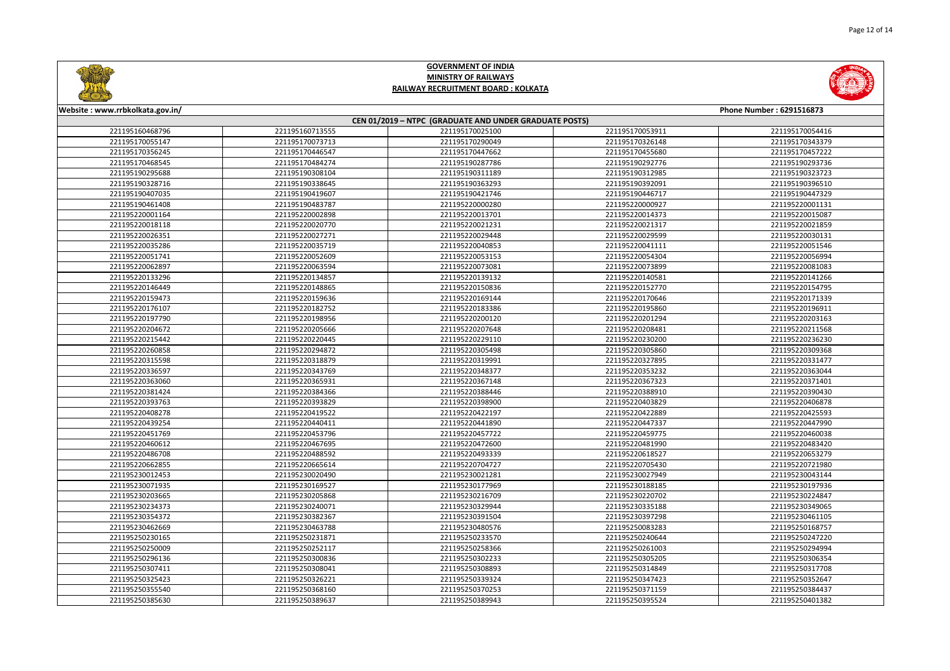

<sup>221195230169527</sup> <sup>221195230177969</sup> <sup>221195230188185</sup> <sup>221195230197936</sup>

<sup>221195230205868</sup> <sup>221195230216709</sup> <sup>221195230220702</sup> <sup>221195230224847</sup>

3 221195230240071 221195230329944 221195230335188 221195230349065

2 221195230382367 221195230391504 221195230397298 221195230461105

9 221195230463788 221195230480576 221195250083283 221195250168757

5 221195250231871 221195250233570 221195250240644 221195250247220

9 221195250252117 221195250258366 221195250261003 221195250294994

6 221195250300836 221195250302233 221195250305205 221195250306354

<sup>221195250308041</sup> <sup>221195250308893</sup> <sup>221195250314849</sup> <sup>221195250317708</sup>

3 221195250326221 221195250339324 221195250347423 221195250352647

0 221195250368160 221195250370253 221195250371159 221195250384437

0 221195250389637 221195250389943 221195250395524 221195250401382



221195230203665

221195230234373

221195230354372

221195230462669

221195250230165

221195250250009

221195250296136

221195250307411

221195250325423

221195250355540

221195250385630

# **GOVERNMENT OF INDIA MINISTRY OF RAILWAYSRAILWAY RECRUITMENT BOARD : KOLKATA**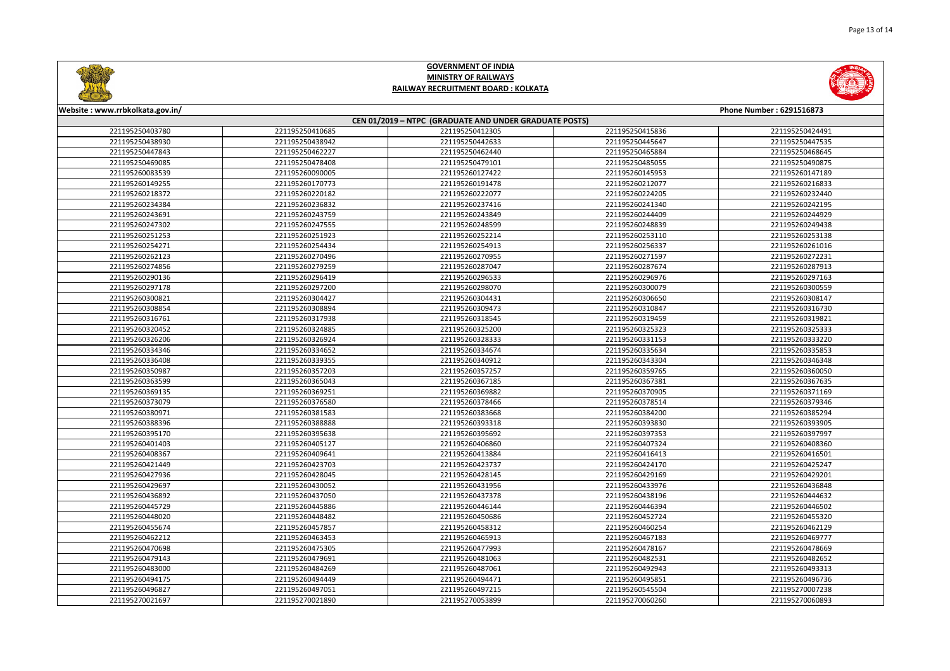

7 221195270021890 221195270053899 221195270060260 221195270060893